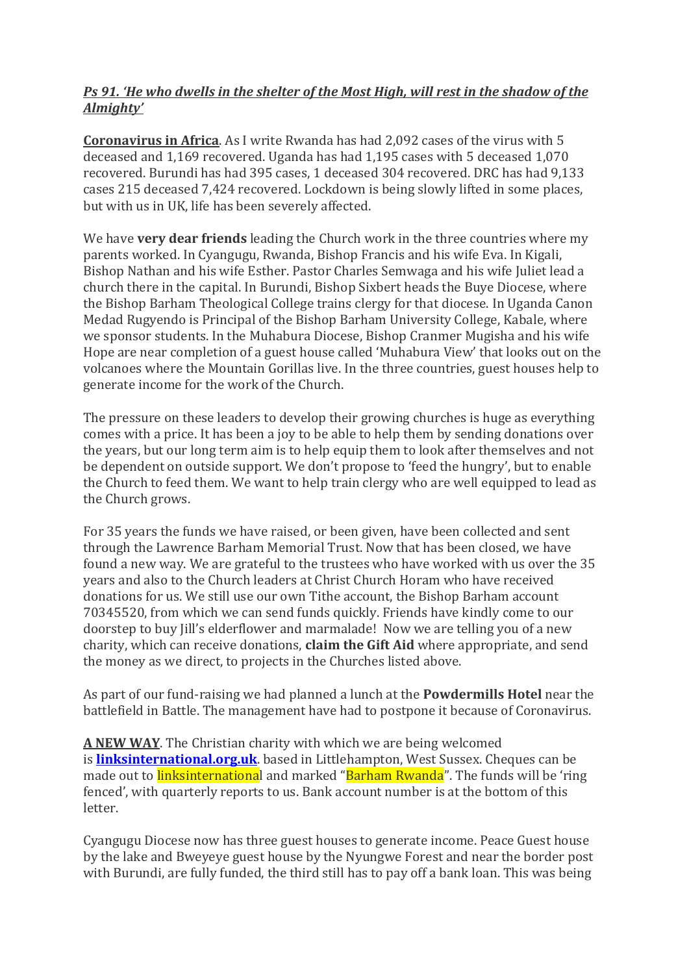## *Ps 91. 'He who dwells in the shelter of the Most High, will rest in the shadow of the Almighty'*

**Coronavirus in Africa**. As I write Rwanda has had 2,092 cases of the virus with 5 deceased and 1,169 recovered. Uganda has had 1,195 cases with 5 deceased 1,070 recovered. Burundi has had 395 cases, 1 deceased 304 recovered. DRC has had 9,133 cases 215 deceased 7,424 recovered. Lockdown is being slowly lifted in some places, but with us in UK, life has been severely affected.

We have **very dear friends** leading the Church work in the three countries where my parents worked. In Cyangugu, Rwanda, Bishop Francis and his wife Eva. In Kigali, Bishop Nathan and his wife Esther. Pastor Charles Semwaga and his wife Juliet lead a church there in the capital. In Burundi, Bishop Sixbert heads the Buye Diocese, where the Bishop Barham Theological College trains clergy for that diocese. In Uganda Canon Medad Rugyendo is Principal of the Bishop Barham University College, Kabale, where we sponsor students. In the Muhabura Diocese, Bishop Cranmer Mugisha and his wife Hope are near completion of a guest house called 'Muhabura View' that looks out on the volcanoes where the Mountain Gorillas live. In the three countries, guest houses help to generate income for the work of the Church.

The pressure on these leaders to develop their growing churches is huge as everything comes with a price. It has been a joy to be able to help them by sending donations over the years, but our long term aim is to help equip them to look after themselves and not be dependent on outside support. We don't propose to 'feed the hungry', but to enable the Church to feed them. We want to help train clergy who are well equipped to lead as the Church grows.

For 35 years the funds we have raised, or been given, have been collected and sent through the Lawrence Barham Memorial Trust. Now that has been closed, we have found a new way. We are grateful to the trustees who have worked with us over the 35 years and also to the Church leaders at Christ Church Horam who have received donations for us. We still use our own Tithe account, the Bishop Barham account 70345520, from which we can send funds quickly. Friends have kindly come to our doorstep to buy Jill's elderflower and marmalade! Now we are telling you of a new charity, which can receive donations, **claim the Gift Aid** where appropriate, and send the money as we direct, to projects in the Churches listed above.

As part of our fund-raising we had planned a lunch at the **Powdermills Hotel** near the battlefield in Battle. The management have had to postpone it because of Coronavirus.

**A NEW WAY**. The Christian charity with which we are being welcomed is **[linksinternational.org.uk](http://linksinternational.org.uk/)**. based in Littlehampton, West Sussex. Cheques can be made out to **linksinternationa**l and marked "**Barham Rwanda**". The funds will be 'ring fenced', with quarterly reports to us. Bank account number is at the bottom of this letter.

Cyangugu Diocese now has three guest houses to generate income. Peace Guest house by the lake and Bweyeye guest house by the Nyungwe Forest and near the border post with Burundi, are fully funded, the third still has to pay off a bank loan. This was being